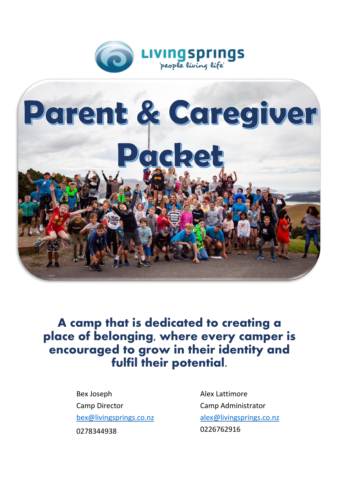



A camp that is dedicated to **creating a place of belonging, where every camper is encouraged to grow in their identity and fulfil their potential.** 

> Bex Joseph Camp Director [bex@livingsprings.co.nz](mailto:bex@livingsprings.co.nz) 0278344938

Alex Lattimore Camp Administrator [alex@livingsprings.co.nz](mailto:alex@livingsprings.co.nz) 0226762916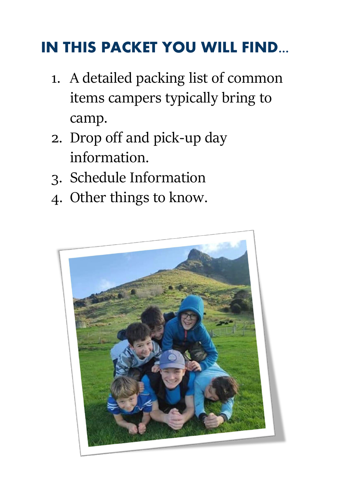# **IN THIS PACKET YOU WILL FIND...**

- 1. A detailed packing list of common items campers typically bring to camp.
- 2. Drop off and pick-up day information.
- 3. Schedule Information
- 4. Other things to know.

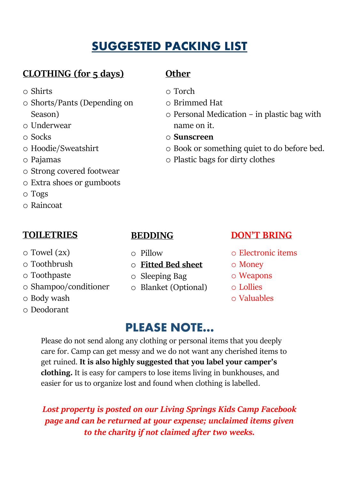### SUGGESTED PACKING LIST

### **CLOTHING (for 5 days)**

- o Shirts
- o Shorts/Pants (Depending on Season)
- o Underwear
- o Socks
- o Hoodie/Sweatshirt
- o Pajamas
- o Strong covered footwear
- o Extra shoes or gumboots
- o Togs
- o Raincoat

#### **TOILETRIES**

- o Towel (2x)
- o Toothbrush
- o Toothpaste
- o Shampoo/conditioner
- o Body wash
- o Deodorant

### **Other**

- o Torch
- o Brimmed Hat
- o Personal Medication in plastic bag with name on it.
- o **Sunscreen**
- o Book or something quiet to do before bed.
- o Plastic bags for dirty clothes

### **BEDDING**

- o Pillow
- o **Fitted Bed sheet**
- o Sleeping Bag
- o Blanket (Optional)

### **DON'T BRING**

- o Electronic items
- o Money
- o Weapons
- o Lollies
- o Valuables

### PLEASE NOTE…

Please do not send along any clothing or personal items that you deeply care for. Camp can get messy and we do not want any cherished items to get ruined. **It is also highly suggested that you label your camper's clothing.** It is easy for campers to lose items living in bunkhouses, and easier for us to organize lost and found when clothing is labelled.

*Lost property is posted on our Living Springs Kids Camp Facebook page and can be returned at your expense; unclaimed items given to the charity if not claimed after two weeks.*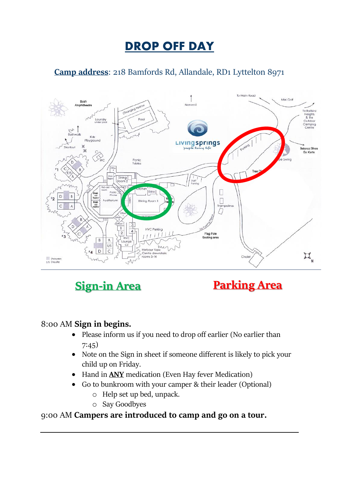### **DROP OFF DAY**

#### **Camp address**: 218 Bamfords Rd, Allandale, RD1 Lyttelton 8971







#### 8:00 AM **Sign in begins.**

- Please inform us if you need to drop off earlier (No earlier than 7:45)
- Note on the Sign in sheet if someone different is likely to pick your child up on Friday.
- Hand in **ANY** medication (Even Hay fever Medication)
- Go to bunkroom with your camper & their leader (Optional)
	- o Help set up bed, unpack.
	- o Say Goodbyes

#### 9:00 AM **Campers are introduced to camp and go on a tour.**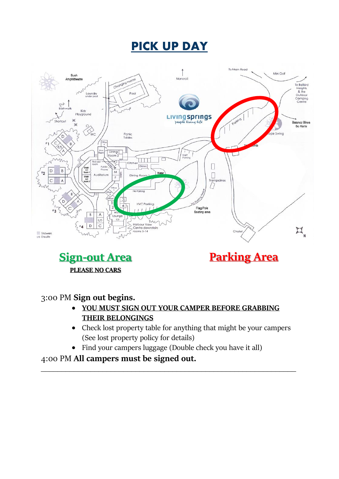### **PICK UP DAY**



**Sign-out Area PLEASE NO CARS** 

### **Parking Area**

3:00 PM **Sign out begins.** 

- **YOU MUST SIGN OUT YOUR CAMPER BEFORE GRABBING THEIR BELONGINGS**
- Check lost property table for anything that might be your campers (See lost property policy for details)
- Find your campers luggage (Double check you have it all)

\_\_\_\_\_\_\_\_\_\_\_\_\_\_\_\_\_\_\_\_\_\_\_\_\_\_\_\_\_\_\_\_\_\_\_\_\_\_\_\_\_\_\_\_\_\_\_\_\_\_\_\_\_\_\_\_\_\_\_\_\_\_

4:00 PM **All campers must be signed out.**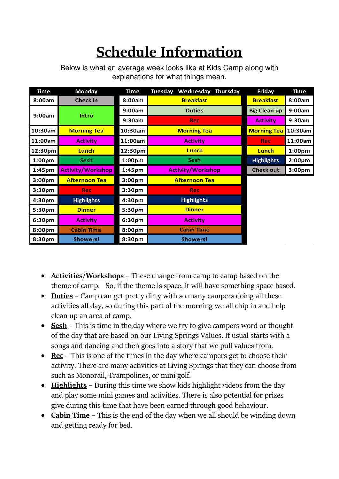# **Schedule Information**

| <b>Time</b>        | <b>Monday</b>            | <b>Time</b>        | Wednesday<br><b>Thursday</b><br><b>Tuesday</b> | <b>Friday</b>       | <b>Time</b>        |
|--------------------|--------------------------|--------------------|------------------------------------------------|---------------------|--------------------|
| 8:00am             | <b>Check in</b>          | 8:00am             | <b>Breakfast</b>                               | <b>Breakfast</b>    | 8:00am             |
| 9:00am             | <b>Intro</b>             | 9:00am             | <b>Duties</b>                                  | <b>Big Clean up</b> | 9:00am             |
|                    |                          | 9:30am             | Rec                                            | <b>Activity</b>     | 9:30am             |
| 10:30am            | <b>Morning Tea</b>       | 10:30am            | <b>Morning Tea</b>                             | <b>Morning Tea</b>  | 10:30am            |
| 11:00am            | <b>Activity</b>          | 11:00am            | <b>Activity</b>                                | <b>Rec</b>          | 11:00am            |
| 12:30pm            | <b>Lunch</b>             | 12:30pm            | Lunch                                          | Lunch               | 1:00 <sub>pm</sub> |
| 1:00 <sub>pm</sub> | <b>Sesh</b>              | 1:00 <sub>pm</sub> | <b>Sesh</b>                                    | <b>Highlights</b>   | 2:00 <sub>pm</sub> |
| 1:45 <sub>pm</sub> | <b>Activity/Workshop</b> | 1:45pm             | <b>Activity/Workshop</b>                       | <b>Check out</b>    | 3:00 <sub>pm</sub> |
| 3:00 <sub>pm</sub> | <b>Afternoon Tea</b>     | 3:00 <sub>pm</sub> | <b>Afternoon Tea</b>                           |                     |                    |
| 3:30pm             | Rec.                     | 3:30 <sub>pm</sub> | <b>Rec</b>                                     |                     |                    |
| 4:30pm             | <b>Highlights</b>        | 4:30pm             | <b>Highlights</b>                              |                     |                    |
| 5:30pm             | <b>Dinner</b>            | 5:30pm             | <b>Dinner</b>                                  |                     |                    |
| 6:30pm             | <b>Activity</b>          | 6:30pm             | <b>Activity</b>                                |                     |                    |
| 8:00pm             | <b>Cabin Time</b>        | 8:00pm             | <b>Cabin Time</b>                              |                     |                    |
| 8:30pm             | <b>Showers!</b>          | 8:30pm             | <b>Showers!</b>                                |                     |                    |

Below is what an average week looks like at Kids Camp along with explanations for what things mean.

- **Activities/Workshops**  These change from camp to camp based on the theme of camp. So, if the theme is space, it will have something space based.
- **Duties** Camp can get pretty dirty with so many campers doing all these activities all day, so during this part of the morning we all chip in and help clean up an area of camp.
- **Sesh** This is time in the day where we try to give campers word or thought of the day that are based on our Living Springs Values. It usual starts with a songs and dancing and then goes into a story that we pull values from.
- **Rec** This is one of the times in the day where campers get to choose their activity. There are many activities at Living Springs that they can choose from such as Monorail, Trampolines, or mini golf.
- **Highlights** During this time we show kids highlight videos from the day and play some mini games and activities. There is also potential for prizes give during this time that have been earned through good behaviour.
- **Cabin Time** This is the end of the day when we all should be winding down and getting ready for bed.